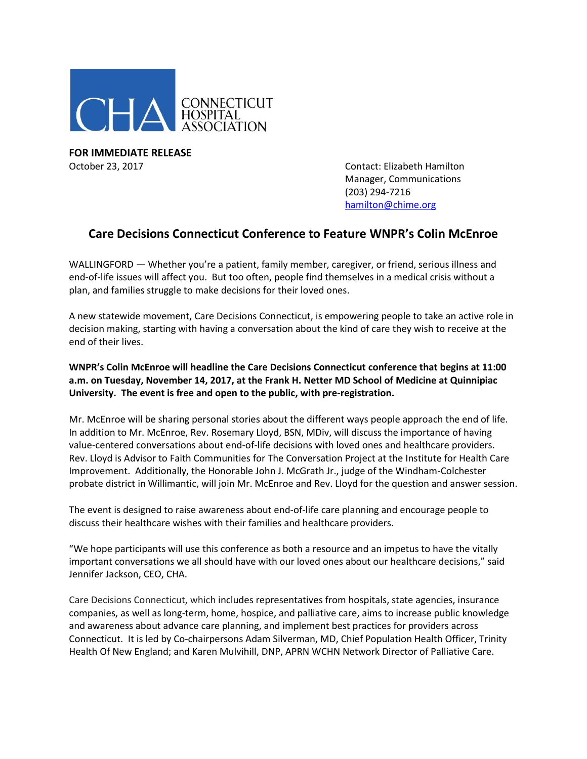

**FOR IMMEDIATE RELEASE** October 23, 2017 Contact: Elizabeth Hamilton

Manager, Communications (203) 294-7216 [hamilton@chime.org](mailto:hamilton@chime.org)

## **Care Decisions Connecticut Conference to Feature WNPR's Colin McEnroe**

WALLINGFORD — Whether you're a patient, family member, caregiver, or friend, serious illness and end-of-life issues will affect you. But too often, people find themselves in a medical crisis without a plan, and families struggle to make decisions for their loved ones.

A new statewide movement, Care Decisions Connecticut, is empowering people to take an active role in decision making, starting with having a conversation about the kind of care they wish to receive at the end of their lives.

## **WNPR's Colin McEnroe will headline the Care Decisions Connecticut conference that begins at 11:00 a.m. on Tuesday, November 14, 2017, at the Frank H. Netter MD School of Medicine at Quinnipiac University. The event is free and open to the public, with pre-registration.**

Mr. McEnroe will be sharing personal stories about the different ways people approach the end of life. In addition to Mr. McEnroe, Rev. Rosemary Lloyd, BSN, MDiv, will discuss the importance of having value-centered conversations about end-of-life decisions with loved ones and healthcare providers. Rev. Lloyd is Advisor to Faith Communities for The Conversation Project at the Institute for Health Care Improvement. Additionally, the Honorable John J. McGrath Jr., judge of the Windham-Colchester probate district in Willimantic, will join Mr. McEnroe and Rev. Lloyd for the question and answer session.

The event is designed to raise awareness about end-of-life care planning and encourage people to discuss their healthcare wishes with their families and healthcare providers.

"We hope participants will use this conference as both a resource and an impetus to have the vitally important conversations we all should have with our loved ones about our healthcare decisions," said Jennifer Jackson, CEO, CHA.

Care Decisions Connecticut, which includes representatives from hospitals, state agencies, insurance companies, as well as long-term, home, hospice, and palliative care, aims to increase public knowledge and awareness about advance care planning, and implement best practices for providers across Connecticut. It is led by Co-chairpersons Adam Silverman, MD, Chief Population Health Officer, Trinity Health Of New England; and Karen Mulvihill, DNP, APRN WCHN Network Director of Palliative Care.